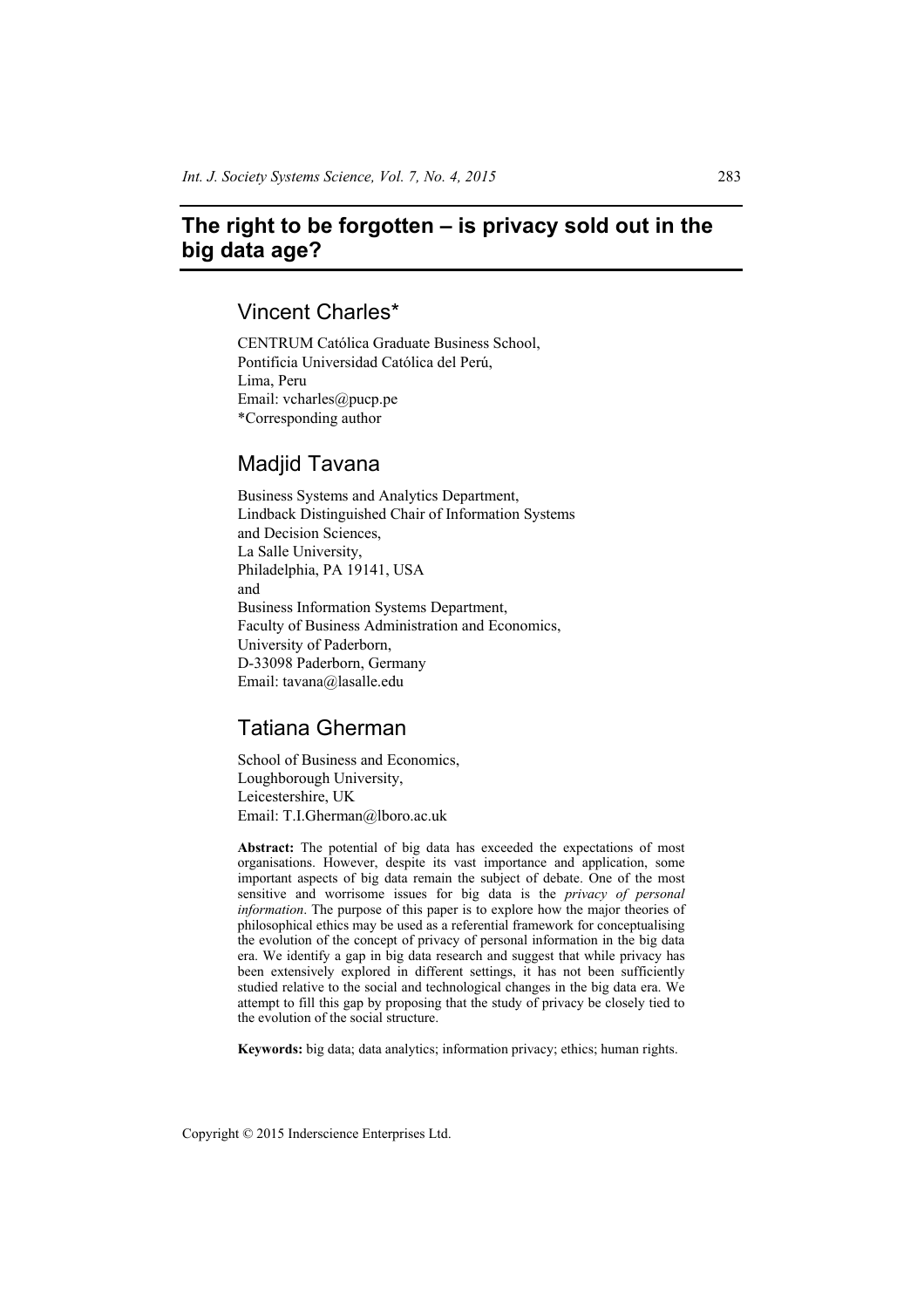# **The right to be forgotten – is privacy sold out in the big data age?**

# Vincent Charles\*

CENTRUM Católica Graduate Business School, Pontificia Universidad Católica del Perú, Lima, Peru Email: vcharles@pucp.pe \*Corresponding author

# Madjid Tavana

Business Systems and Analytics Department, Lindback Distinguished Chair of Information Systems and Decision Sciences, La Salle University, Philadelphia, PA 19141, USA and Business Information Systems Department, Faculty of Business Administration and Economics, University of Paderborn, D-33098 Paderborn, Germany Email: tavana@lasalle.edu

# Tatiana Gherman

School of Business and Economics, Loughborough University, Leicestershire, UK Email: T.I.Gherman@lboro.ac.uk

**Abstract:** The potential of big data has exceeded the expectations of most organisations. However, despite its vast importance and application, some important aspects of big data remain the subject of debate. One of the most sensitive and worrisome issues for big data is the *privacy of personal information*. The purpose of this paper is to explore how the major theories of philosophical ethics may be used as a referential framework for conceptualising the evolution of the concept of privacy of personal information in the big data era. We identify a gap in big data research and suggest that while privacy has been extensively explored in different settings, it has not been sufficiently studied relative to the social and technological changes in the big data era. We attempt to fill this gap by proposing that the study of privacy be closely tied to the evolution of the social structure.

**Keywords:** big data; data analytics; information privacy; ethics; human rights.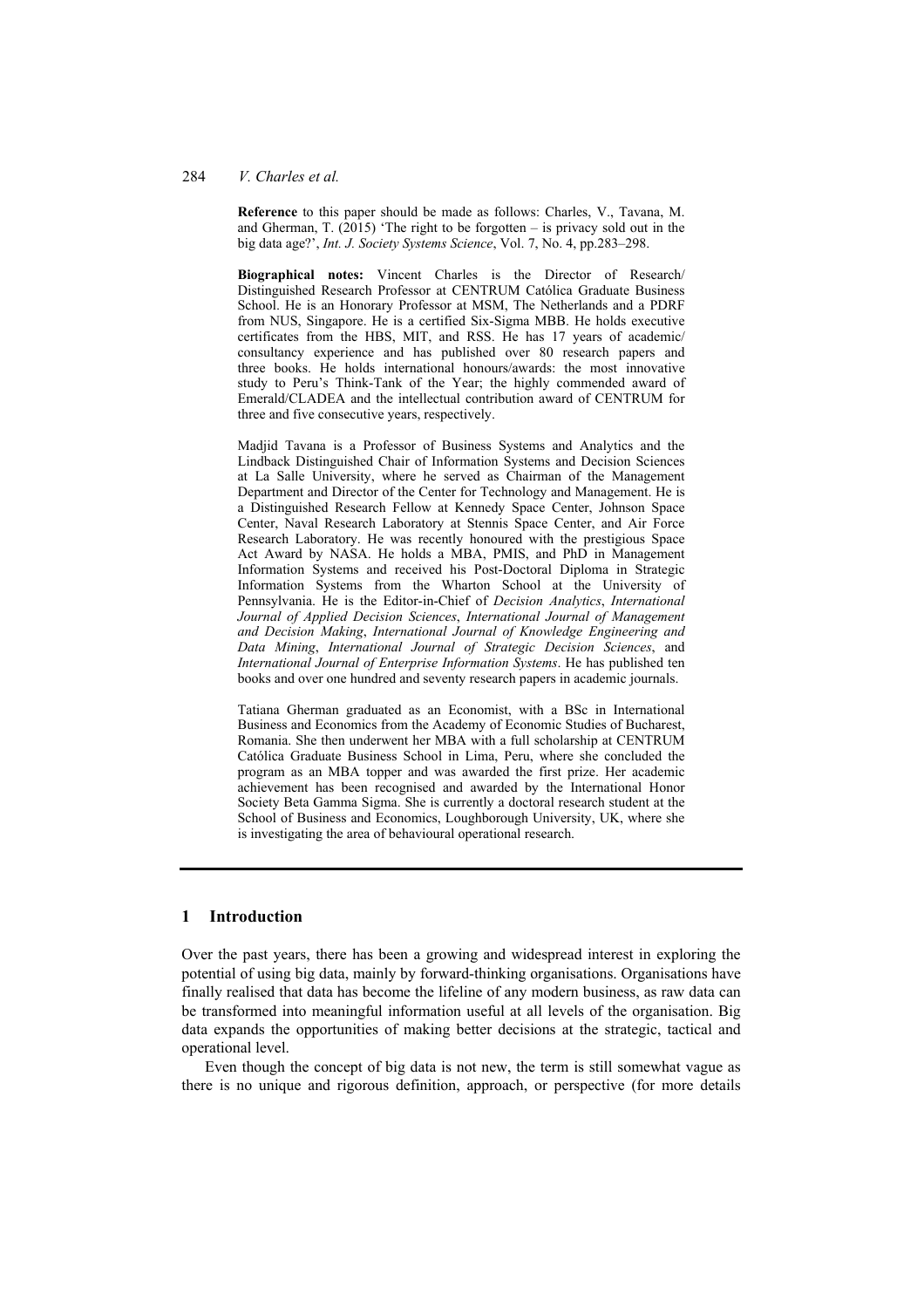**Reference** to this paper should be made as follows: Charles, V., Tavana, M. and Gherman, T.  $(2015)$  'The right to be forgotten – is privacy sold out in the big data age?', *Int. J. Society Systems Science*, Vol. 7, No. 4, pp.283–298.

**Biographical notes:** Vincent Charles is the Director of Research/ Distinguished Research Professor at CENTRUM Católica Graduate Business School. He is an Honorary Professor at MSM, The Netherlands and a PDRF from NUS, Singapore. He is a certified Six-Sigma MBB. He holds executive certificates from the HBS, MIT, and RSS. He has 17 years of academic/ consultancy experience and has published over 80 research papers and three books. He holds international honours/awards: the most innovative study to Peru's Think-Tank of the Year; the highly commended award of Emerald/CLADEA and the intellectual contribution award of CENTRUM for three and five consecutive years, respectively.

Madjid Tavana is a Professor of Business Systems and Analytics and the Lindback Distinguished Chair of Information Systems and Decision Sciences at La Salle University, where he served as Chairman of the Management Department and Director of the Center for Technology and Management. He is a Distinguished Research Fellow at Kennedy Space Center, Johnson Space Center, Naval Research Laboratory at Stennis Space Center, and Air Force Research Laboratory. He was recently honoured with the prestigious Space Act Award by NASA. He holds a MBA, PMIS, and PhD in Management Information Systems and received his Post-Doctoral Diploma in Strategic Information Systems from the Wharton School at the University of Pennsylvania. He is the Editor-in-Chief of *Decision Analytics*, *International Journal of Applied Decision Sciences*, *International Journal of Management and Decision Making*, *International Journal of Knowledge Engineering and Data Mining*, *International Journal of Strategic Decision Sciences*, and *International Journal of Enterprise Information Systems*. He has published ten books and over one hundred and seventy research papers in academic journals.

Tatiana Gherman graduated as an Economist, with a BSc in International Business and Economics from the Academy of Economic Studies of Bucharest, Romania. She then underwent her MBA with a full scholarship at CENTRUM Católica Graduate Business School in Lima, Peru, where she concluded the program as an MBA topper and was awarded the first prize. Her academic achievement has been recognised and awarded by the International Honor Society Beta Gamma Sigma. She is currently a doctoral research student at the School of Business and Economics, Loughborough University, UK, where she is investigating the area of behavioural operational research.

### **1 Introduction**

Over the past years, there has been a growing and widespread interest in exploring the potential of using big data, mainly by forward-thinking organisations. Organisations have finally realised that data has become the lifeline of any modern business, as raw data can be transformed into meaningful information useful at all levels of the organisation. Big data expands the opportunities of making better decisions at the strategic, tactical and operational level.

Even though the concept of big data is not new, the term is still somewhat vague as there is no unique and rigorous definition, approach, or perspective (for more details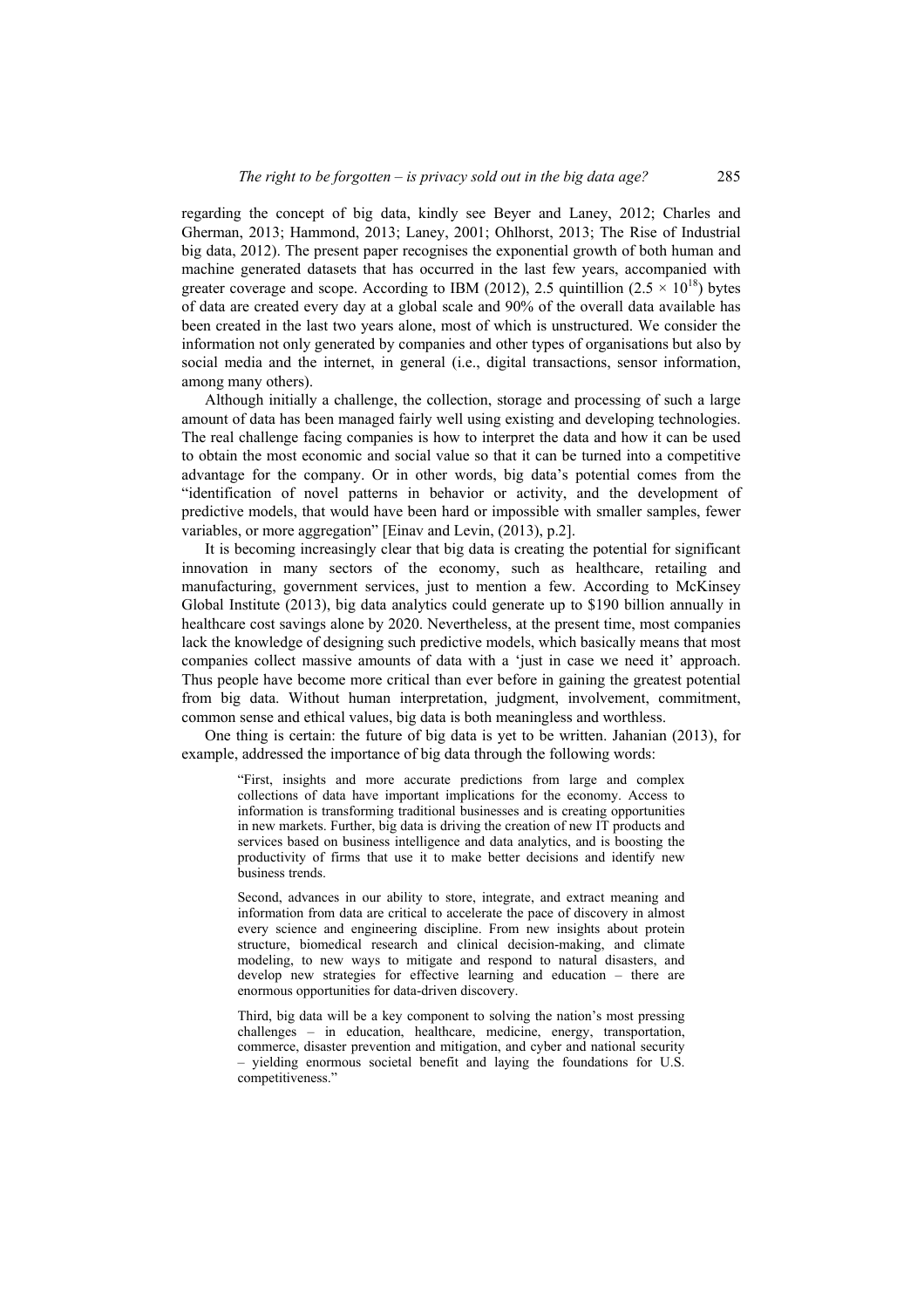regarding the concept of big data, kindly see Beyer and Laney, 2012; Charles and Gherman, 2013; Hammond, 2013; Laney, 2001; Ohlhorst, 2013; The Rise of Industrial big data, 2012). The present paper recognises the exponential growth of both human and machine generated datasets that has occurred in the last few years, accompanied with greater coverage and scope. According to IBM (2012), 2.5 quintillion (2.5  $\times$  10<sup>18</sup>) bytes of data are created every day at a global scale and 90% of the overall data available has been created in the last two years alone, most of which is unstructured. We consider the information not only generated by companies and other types of organisations but also by social media and the internet, in general (i.e., digital transactions, sensor information, among many others).

Although initially a challenge, the collection, storage and processing of such a large amount of data has been managed fairly well using existing and developing technologies. The real challenge facing companies is how to interpret the data and how it can be used to obtain the most economic and social value so that it can be turned into a competitive advantage for the company. Or in other words, big data's potential comes from the "identification of novel patterns in behavior or activity, and the development of predictive models, that would have been hard or impossible with smaller samples, fewer variables, or more aggregation" [Einav and Levin, (2013), p.2].

It is becoming increasingly clear that big data is creating the potential for significant innovation in many sectors of the economy, such as healthcare, retailing and manufacturing, government services, just to mention a few. According to McKinsey Global Institute (2013), big data analytics could generate up to \$190 billion annually in healthcare cost savings alone by 2020. Nevertheless, at the present time, most companies lack the knowledge of designing such predictive models, which basically means that most companies collect massive amounts of data with a 'just in case we need it' approach. Thus people have become more critical than ever before in gaining the greatest potential from big data. Without human interpretation, judgment, involvement, commitment, common sense and ethical values, big data is both meaningless and worthless.

One thing is certain: the future of big data is yet to be written. Jahanian (2013), for example, addressed the importance of big data through the following words:

"First, insights and more accurate predictions from large and complex collections of data have important implications for the economy. Access to information is transforming traditional businesses and is creating opportunities in new markets. Further, big data is driving the creation of new IT products and services based on business intelligence and data analytics, and is boosting the productivity of firms that use it to make better decisions and identify new business trends.

Second, advances in our ability to store, integrate, and extract meaning and information from data are critical to accelerate the pace of discovery in almost every science and engineering discipline. From new insights about protein structure, biomedical research and clinical decision-making, and climate modeling, to new ways to mitigate and respond to natural disasters, and develop new strategies for effective learning and education – there are enormous opportunities for data-driven discovery.

Third, big data will be a key component to solving the nation's most pressing challenges – in education, healthcare, medicine, energy, transportation, commerce, disaster prevention and mitigation, and cyber and national security – yielding enormous societal benefit and laying the foundations for U.S. competitiveness."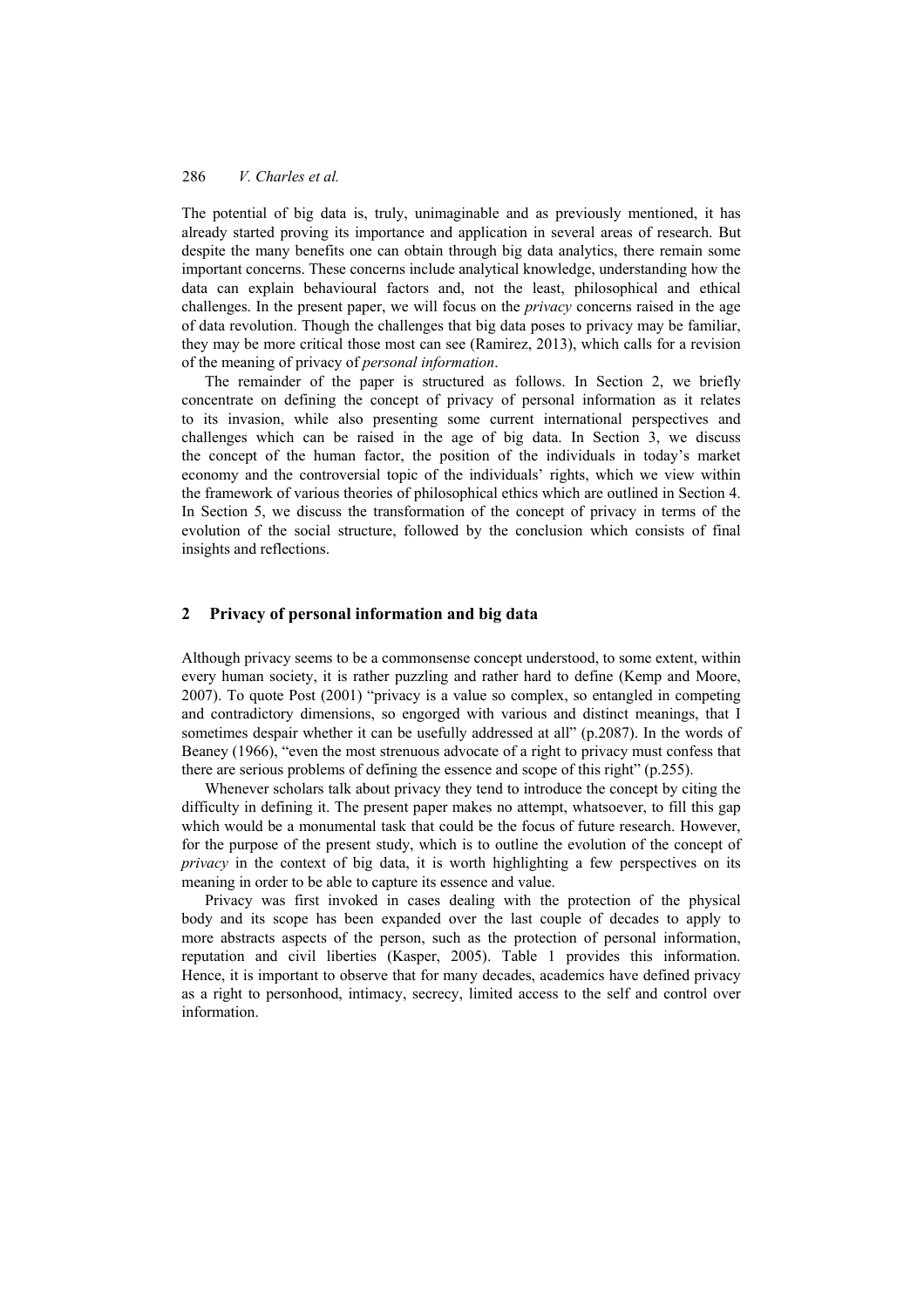The potential of big data is, truly, unimaginable and as previously mentioned, it has already started proving its importance and application in several areas of research. But despite the many benefits one can obtain through big data analytics, there remain some important concerns. These concerns include analytical knowledge, understanding how the data can explain behavioural factors and, not the least, philosophical and ethical challenges. In the present paper, we will focus on the *privacy* concerns raised in the age of data revolution. Though the challenges that big data poses to privacy may be familiar, they may be more critical those most can see (Ramirez, 2013), which calls for a revision of the meaning of privacy of *personal information*.

The remainder of the paper is structured as follows. In Section 2, we briefly concentrate on defining the concept of privacy of personal information as it relates to its invasion, while also presenting some current international perspectives and challenges which can be raised in the age of big data. In Section 3, we discuss the concept of the human factor, the position of the individuals in today's market economy and the controversial topic of the individuals' rights, which we view within the framework of various theories of philosophical ethics which are outlined in Section 4. In Section 5, we discuss the transformation of the concept of privacy in terms of the evolution of the social structure, followed by the conclusion which consists of final insights and reflections.

#### **2 Privacy of personal information and big data**

Although privacy seems to be a commonsense concept understood, to some extent, within every human society, it is rather puzzling and rather hard to define (Kemp and Moore, 2007). To quote Post (2001) "privacy is a value so complex, so entangled in competing and contradictory dimensions, so engorged with various and distinct meanings, that I sometimes despair whether it can be usefully addressed at all" (p.2087). In the words of Beaney (1966), "even the most strenuous advocate of a right to privacy must confess that there are serious problems of defining the essence and scope of this right" (p.255).

Whenever scholars talk about privacy they tend to introduce the concept by citing the difficulty in defining it. The present paper makes no attempt, whatsoever, to fill this gap which would be a monumental task that could be the focus of future research. However, for the purpose of the present study, which is to outline the evolution of the concept of *privacy* in the context of big data, it is worth highlighting a few perspectives on its meaning in order to be able to capture its essence and value.

Privacy was first invoked in cases dealing with the protection of the physical body and its scope has been expanded over the last couple of decades to apply to more abstracts aspects of the person, such as the protection of personal information, reputation and civil liberties (Kasper, 2005). Table 1 provides this information. Hence, it is important to observe that for many decades, academics have defined privacy as a right to personhood, intimacy, secrecy, limited access to the self and control over information.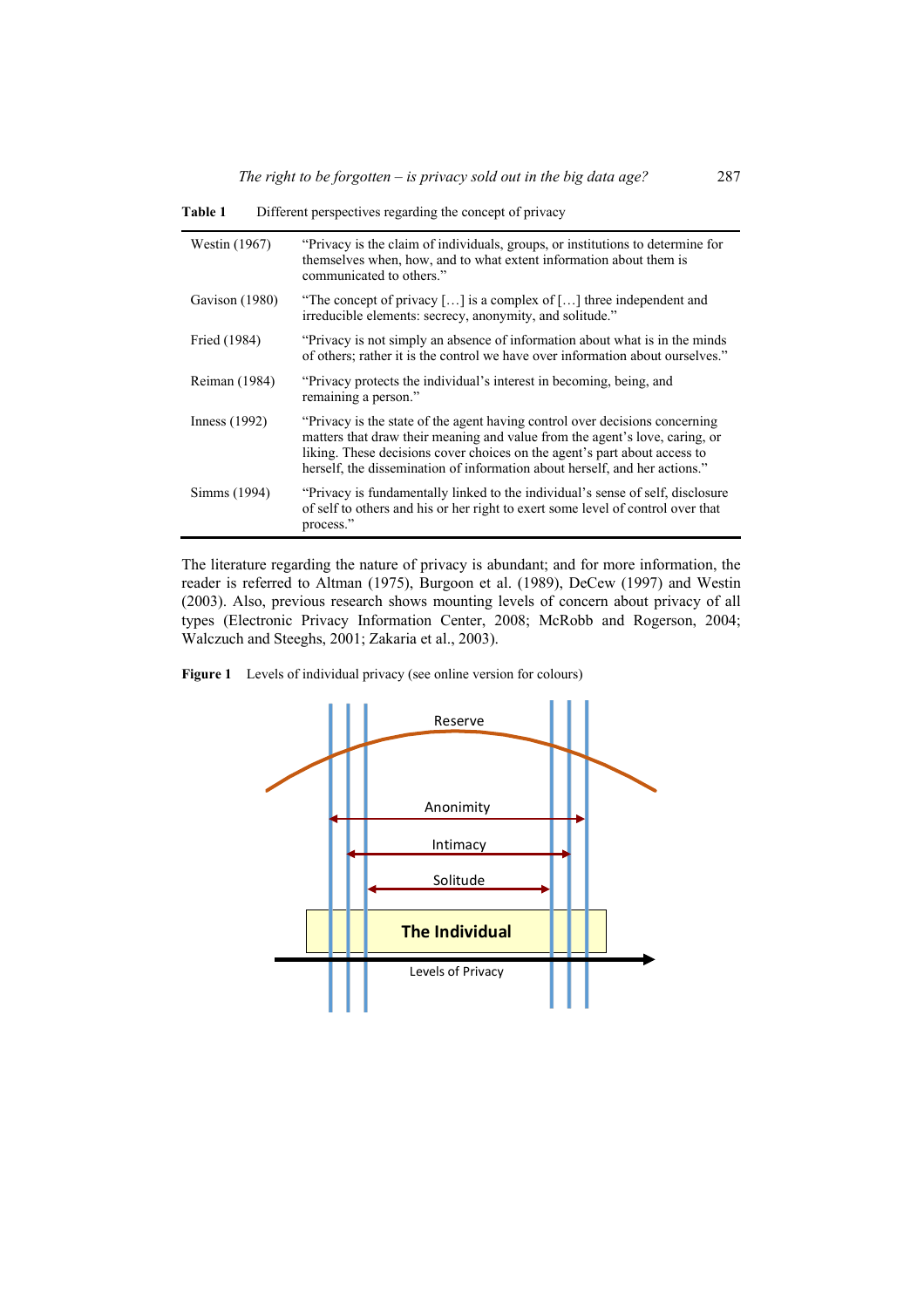**Table 1** Different perspectives regarding the concept of privacy

| Westin (1967)   | "Privacy is the claim of individuals, groups, or institutions to determine for<br>themselves when, how, and to what extent information about them is<br>communicated to others."                                                                                                                                      |
|-----------------|-----------------------------------------------------------------------------------------------------------------------------------------------------------------------------------------------------------------------------------------------------------------------------------------------------------------------|
| Gavison (1980)  | "The concept of privacy [] is a complex of [] three independent and<br>irreducible elements: secrecy, anonymity, and solitude."                                                                                                                                                                                       |
| Fried (1984)    | "Privacy is not simply an absence of information about what is in the minds"<br>of others; rather it is the control we have over information about ourselves."                                                                                                                                                        |
| Reiman (1984)   | "Privacy protects the individual's interest in becoming, being, and<br>remaining a person."                                                                                                                                                                                                                           |
| Inness $(1992)$ | "Privacy is the state of the agent having control over decisions concerning<br>matters that draw their meaning and value from the agent's love, caring, or<br>liking. These decisions cover choices on the agent's part about access to<br>herself, the dissemination of information about herself, and her actions." |
| Simms (1994)    | "Privacy is fundamentally linked to the individual's sense of self, disclosure<br>of self to others and his or her right to exert some level of control over that<br>process."                                                                                                                                        |

The literature regarding the nature of privacy is abundant; and for more information, the reader is referred to Altman (1975), Burgoon et al. (1989), DeCew (1997) and Westin (2003). Also, previous research shows mounting levels of concern about privacy of all types (Electronic Privacy Information Center, 2008; McRobb and Rogerson, 2004; Walczuch and Steeghs, 2001; Zakaria et al., 2003).

Figure 1 Levels of individual privacy (see online version for colours)

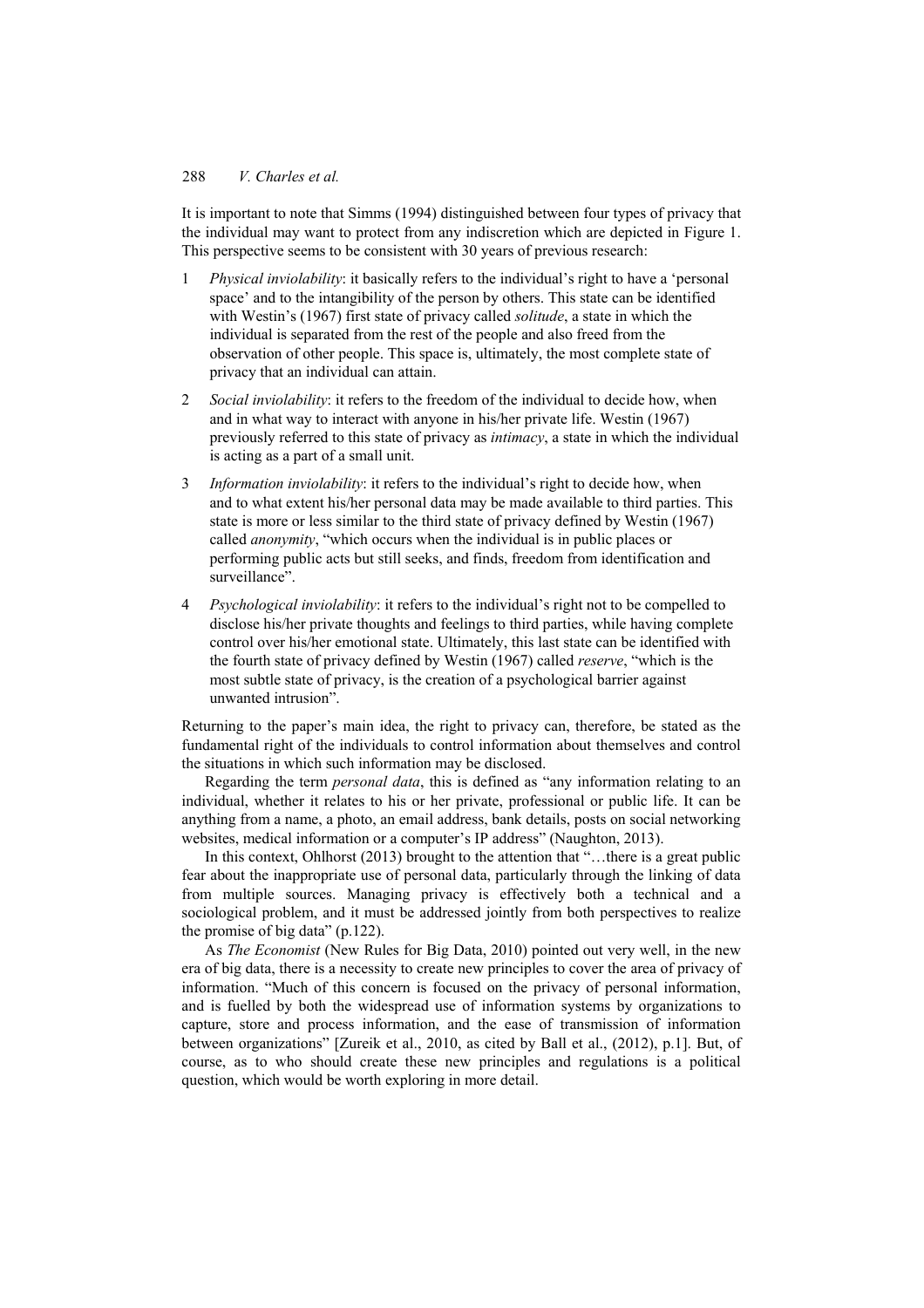It is important to note that Simms (1994) distinguished between four types of privacy that the individual may want to protect from any indiscretion which are depicted in Figure 1. This perspective seems to be consistent with 30 years of previous research:

- *Physical inviolability*: it basically refers to the individual's right to have a 'personal space' and to the intangibility of the person by others. This state can be identified with Westin's (1967) first state of privacy called *solitude*, a state in which the individual is separated from the rest of the people and also freed from the observation of other people. This space is, ultimately, the most complete state of privacy that an individual can attain.
- 2 *Social inviolability*: it refers to the freedom of the individual to decide how, when and in what way to interact with anyone in his/her private life. Westin (1967) previously referred to this state of privacy as *intimacy*, a state in which the individual is acting as a part of a small unit.
- 3 *Information inviolability*: it refers to the individual's right to decide how, when and to what extent his/her personal data may be made available to third parties. This state is more or less similar to the third state of privacy defined by Westin (1967) called *anonymity*, "which occurs when the individual is in public places or performing public acts but still seeks, and finds, freedom from identification and surveillance".
- 4 *Psychological inviolability*: it refers to the individual's right not to be compelled to disclose his/her private thoughts and feelings to third parties, while having complete control over his/her emotional state. Ultimately, this last state can be identified with the fourth state of privacy defined by Westin (1967) called *reserve*, "which is the most subtle state of privacy, is the creation of a psychological barrier against unwanted intrusion".

Returning to the paper's main idea, the right to privacy can, therefore, be stated as the fundamental right of the individuals to control information about themselves and control the situations in which such information may be disclosed.

Regarding the term *personal data*, this is defined as "any information relating to an individual, whether it relates to his or her private, professional or public life. It can be anything from a name, a photo, an email address, bank details, posts on social networking websites, medical information or a computer's IP address" (Naughton, 2013).

In this context, Ohlhorst (2013) brought to the attention that "...there is a great public fear about the inappropriate use of personal data, particularly through the linking of data from multiple sources. Managing privacy is effectively both a technical and a sociological problem, and it must be addressed jointly from both perspectives to realize the promise of big data" (p.122).

As *The Economist* (New Rules for Big Data, 2010) pointed out very well, in the new era of big data, there is a necessity to create new principles to cover the area of privacy of information. "Much of this concern is focused on the privacy of personal information, and is fuelled by both the widespread use of information systems by organizations to capture, store and process information, and the ease of transmission of information between organizations" [Zureik et al., 2010, as cited by Ball et al., (2012), p.1]. But, of course, as to who should create these new principles and regulations is a political question, which would be worth exploring in more detail.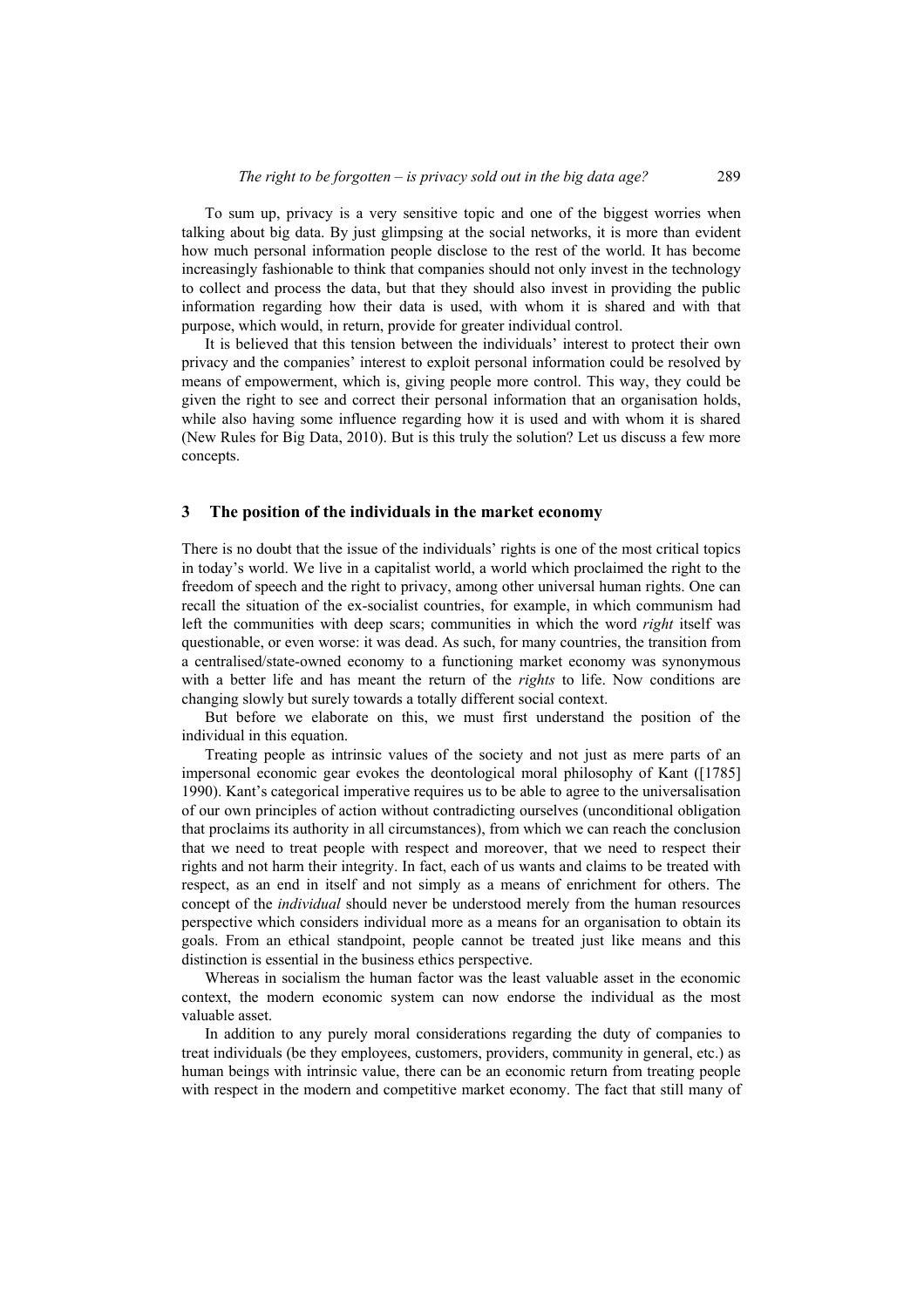To sum up, privacy is a very sensitive topic and one of the biggest worries when talking about big data. By just glimpsing at the social networks, it is more than evident how much personal information people disclose to the rest of the world. It has become increasingly fashionable to think that companies should not only invest in the technology to collect and process the data, but that they should also invest in providing the public information regarding how their data is used, with whom it is shared and with that purpose, which would, in return, provide for greater individual control.

It is believed that this tension between the individuals' interest to protect their own privacy and the companies' interest to exploit personal information could be resolved by means of empowerment, which is, giving people more control. This way, they could be given the right to see and correct their personal information that an organisation holds, while also having some influence regarding how it is used and with whom it is shared (New Rules for Big Data, 2010). But is this truly the solution? Let us discuss a few more concepts.

#### **3 The position of the individuals in the market economy**

There is no doubt that the issue of the individuals' rights is one of the most critical topics in today's world. We live in a capitalist world, a world which proclaimed the right to the freedom of speech and the right to privacy, among other universal human rights. One can recall the situation of the ex-socialist countries, for example, in which communism had left the communities with deep scars; communities in which the word *right* itself was questionable, or even worse: it was dead. As such, for many countries, the transition from a centralised/state-owned economy to a functioning market economy was synonymous with a better life and has meant the return of the *rights* to life. Now conditions are changing slowly but surely towards a totally different social context.

But before we elaborate on this, we must first understand the position of the individual in this equation.

Treating people as intrinsic values of the society and not just as mere parts of an impersonal economic gear evokes the deontological moral philosophy of Kant ([1785] 1990). Kant's categorical imperative requires us to be able to agree to the universalisation of our own principles of action without contradicting ourselves (unconditional obligation that proclaims its authority in all circumstances), from which we can reach the conclusion that we need to treat people with respect and moreover, that we need to respect their rights and not harm their integrity. In fact, each of us wants and claims to be treated with respect, as an end in itself and not simply as a means of enrichment for others. The concept of the *individual* should never be understood merely from the human resources perspective which considers individual more as a means for an organisation to obtain its goals. From an ethical standpoint, people cannot be treated just like means and this distinction is essential in the business ethics perspective.

Whereas in socialism the human factor was the least valuable asset in the economic context, the modern economic system can now endorse the individual as the most valuable asset.

In addition to any purely moral considerations regarding the duty of companies to treat individuals (be they employees, customers, providers, community in general, etc.) as human beings with intrinsic value, there can be an economic return from treating people with respect in the modern and competitive market economy. The fact that still many of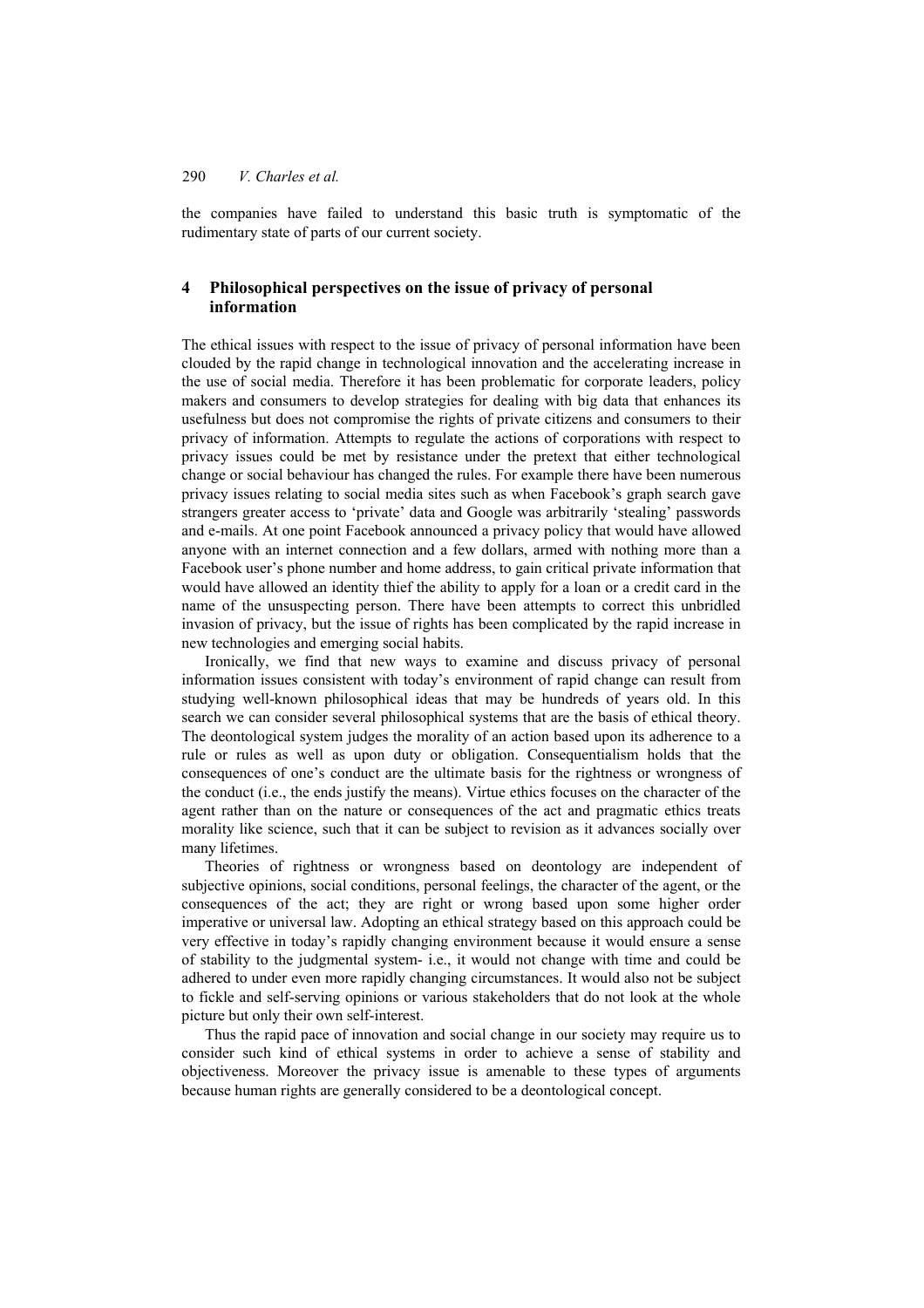the companies have failed to understand this basic truth is symptomatic of the rudimentary state of parts of our current society.

### **4 Philosophical perspectives on the issue of privacy of personal information**

The ethical issues with respect to the issue of privacy of personal information have been clouded by the rapid change in technological innovation and the accelerating increase in the use of social media. Therefore it has been problematic for corporate leaders, policy makers and consumers to develop strategies for dealing with big data that enhances its usefulness but does not compromise the rights of private citizens and consumers to their privacy of information. Attempts to regulate the actions of corporations with respect to privacy issues could be met by resistance under the pretext that either technological change or social behaviour has changed the rules. For example there have been numerous privacy issues relating to social media sites such as when Facebook's graph search gave strangers greater access to 'private' data and Google was arbitrarily 'stealing' passwords and e-mails. At one point Facebook announced a privacy policy that would have allowed anyone with an internet connection and a few dollars, armed with nothing more than a Facebook user's phone number and home address, to gain critical private information that would have allowed an identity thief the ability to apply for a loan or a credit card in the name of the unsuspecting person. There have been attempts to correct this unbridled invasion of privacy, but the issue of rights has been complicated by the rapid increase in new technologies and emerging social habits.

Ironically, we find that new ways to examine and discuss privacy of personal information issues consistent with today's environment of rapid change can result from studying well-known philosophical ideas that may be hundreds of years old. In this search we can consider several philosophical systems that are the basis of ethical theory. The deontological system judges the morality of an action based upon its adherence to a rule or rules as well as upon duty or obligation. Consequentialism holds that the consequences of one's conduct are the ultimate basis for the rightness or wrongness of the conduct (i.e., the ends justify the means). Virtue ethics focuses on the character of the agent rather than on the nature or consequences of the act and pragmatic ethics treats morality like science, such that it can be subject to revision as it advances socially over many lifetimes.

Theories of rightness or wrongness based on deontology are independent of subjective opinions, social conditions, personal feelings, the character of the agent, or the consequences of the act; they are right or wrong based upon some higher order imperative or universal law. Adopting an ethical strategy based on this approach could be very effective in today's rapidly changing environment because it would ensure a sense of stability to the judgmental system- i.e., it would not change with time and could be adhered to under even more rapidly changing circumstances. It would also not be subject to fickle and self-serving opinions or various stakeholders that do not look at the whole picture but only their own self-interest.

Thus the rapid pace of innovation and social change in our society may require us to consider such kind of ethical systems in order to achieve a sense of stability and objectiveness. Moreover the privacy issue is amenable to these types of arguments because human rights are generally considered to be a deontological concept.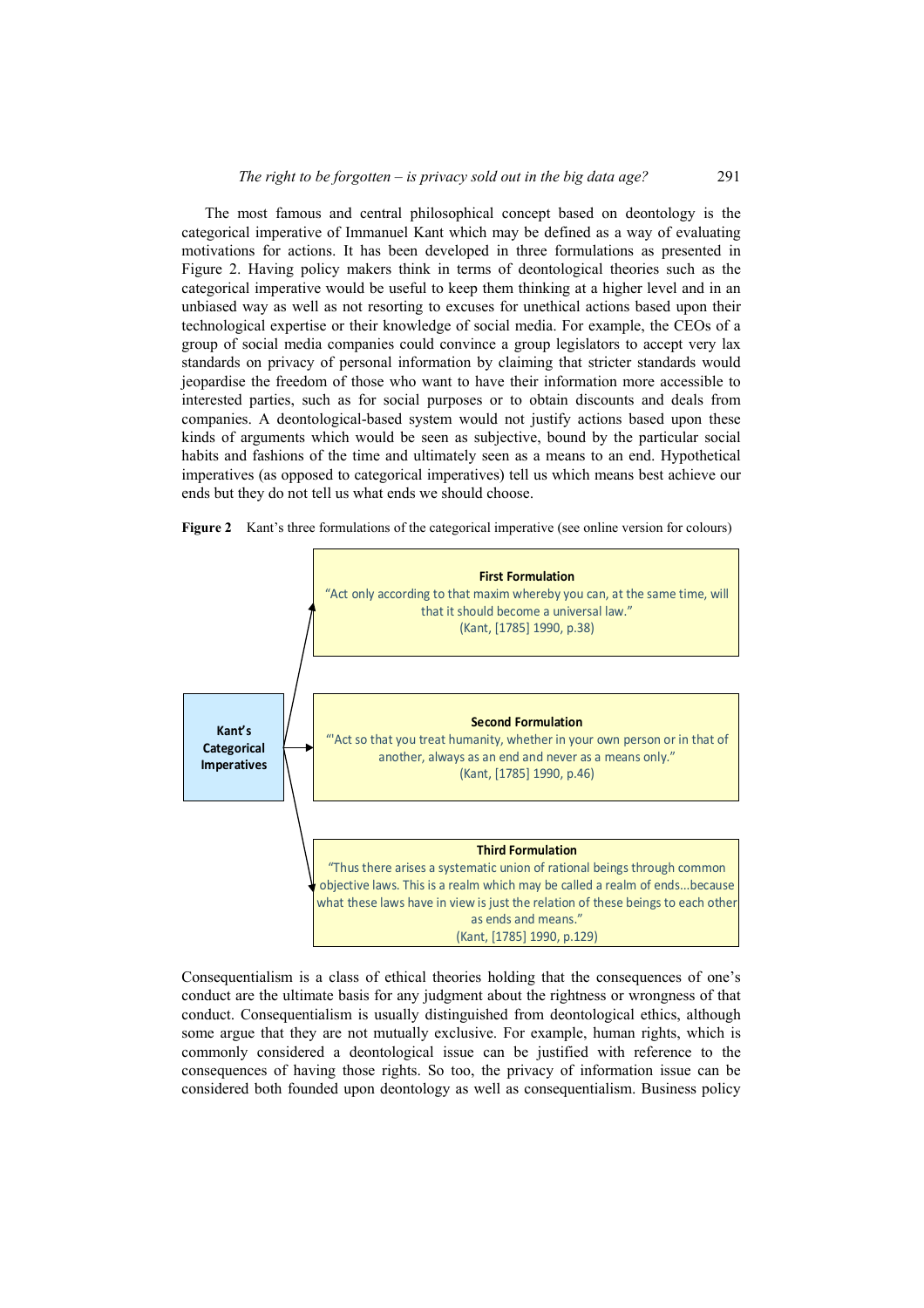The most famous and central philosophical concept based on deontology is the categorical imperative of Immanuel Kant which may be defined as a way of evaluating motivations for actions. It has been developed in three formulations as presented in Figure 2. Having policy makers think in terms of deontological theories such as the categorical imperative would be useful to keep them thinking at a higher level and in an unbiased way as well as not resorting to excuses for unethical actions based upon their technological expertise or their knowledge of social media. For example, the CEOs of a group of social media companies could convince a group legislators to accept very lax standards on privacy of personal information by claiming that stricter standards would jeopardise the freedom of those who want to have their information more accessible to interested parties, such as for social purposes or to obtain discounts and deals from companies. A deontological-based system would not justify actions based upon these kinds of arguments which would be seen as subjective, bound by the particular social habits and fashions of the time and ultimately seen as a means to an end. Hypothetical imperatives (as opposed to categorical imperatives) tell us which means best achieve our ends but they do not tell us what ends we should choose.





Consequentialism is a class of ethical theories holding that the consequences of one's conduct are the ultimate basis for any judgment about the rightness or wrongness of that conduct. Consequentialism is usually distinguished from deontological ethics, although some argue that they are not mutually exclusive. For example, human rights, which is commonly considered a deontological issue can be justified with reference to the consequences of having those rights. So too, the privacy of information issue can be considered both founded upon deontology as well as consequentialism. Business policy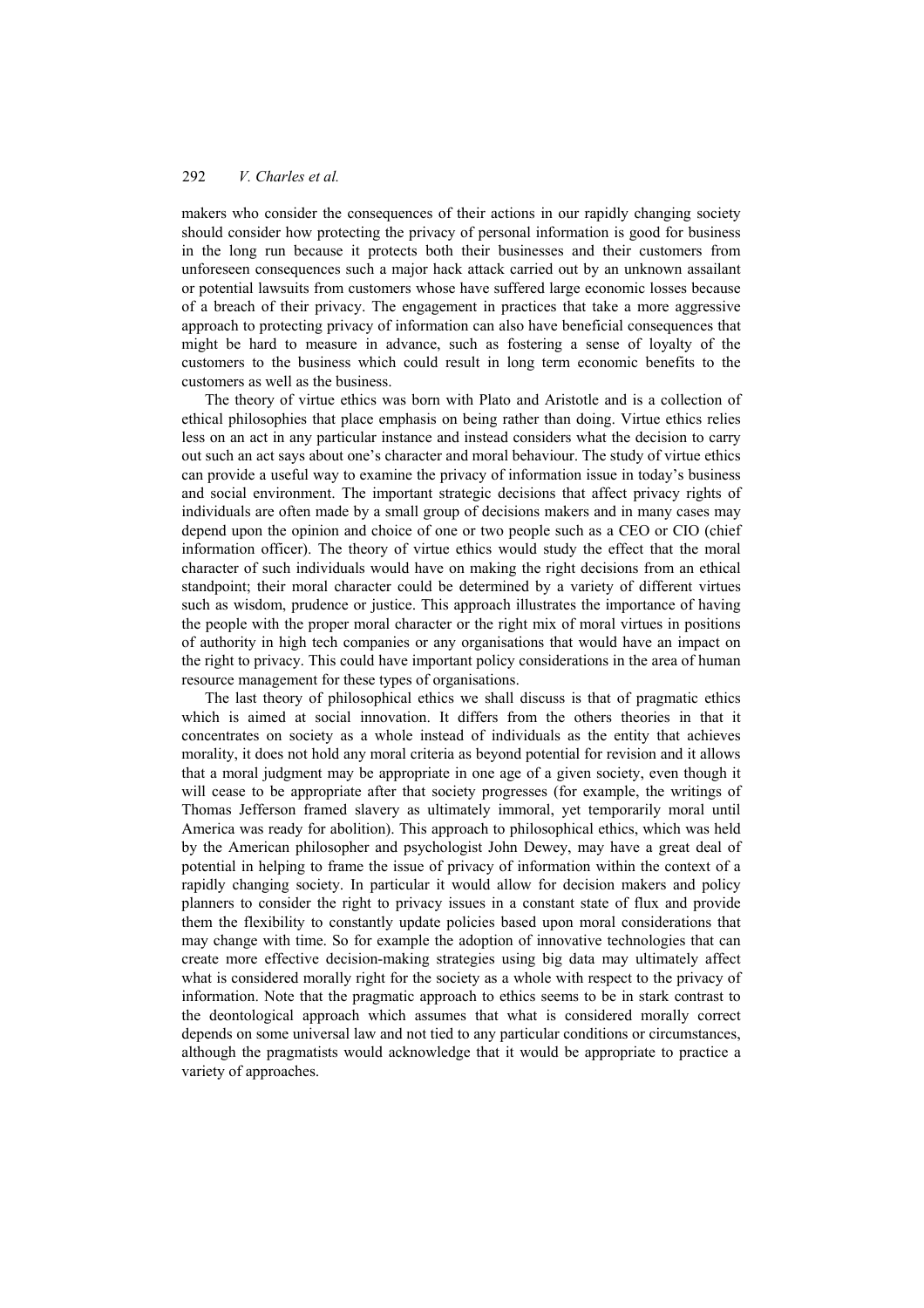makers who consider the consequences of their actions in our rapidly changing society should consider how protecting the privacy of personal information is good for business in the long run because it protects both their businesses and their customers from unforeseen consequences such a major hack attack carried out by an unknown assailant or potential lawsuits from customers whose have suffered large economic losses because of a breach of their privacy. The engagement in practices that take a more aggressive approach to protecting privacy of information can also have beneficial consequences that might be hard to measure in advance, such as fostering a sense of loyalty of the customers to the business which could result in long term economic benefits to the customers as well as the business.

The theory of virtue ethics was born with Plato and Aristotle and is a collection of ethical philosophies that place emphasis on being rather than doing. Virtue ethics relies less on an act in any particular instance and instead considers what the decision to carry out such an act says about one's character and moral behaviour. The study of virtue ethics can provide a useful way to examine the privacy of information issue in today's business and social environment. The important strategic decisions that affect privacy rights of individuals are often made by a small group of decisions makers and in many cases may depend upon the opinion and choice of one or two people such as a CEO or CIO (chief information officer). The theory of virtue ethics would study the effect that the moral character of such individuals would have on making the right decisions from an ethical standpoint; their moral character could be determined by a variety of different virtues such as wisdom, prudence or justice. This approach illustrates the importance of having the people with the proper moral character or the right mix of moral virtues in positions of authority in high tech companies or any organisations that would have an impact on the right to privacy. This could have important policy considerations in the area of human resource management for these types of organisations.

The last theory of philosophical ethics we shall discuss is that of pragmatic ethics which is aimed at social innovation. It differs from the others theories in that it concentrates on society as a whole instead of individuals as the entity that achieves morality, it does not hold any moral criteria as beyond potential for revision and it allows that a moral judgment may be appropriate in one age of a given society, even though it will cease to be appropriate after that society progresses (for example, the writings of Thomas Jefferson framed slavery as ultimately immoral, yet temporarily moral until America was ready for abolition). This approach to philosophical ethics, which was held by the American philosopher and psychologist John Dewey, may have a great deal of potential in helping to frame the issue of privacy of information within the context of a rapidly changing society. In particular it would allow for decision makers and policy planners to consider the right to privacy issues in a constant state of flux and provide them the flexibility to constantly update policies based upon moral considerations that may change with time. So for example the adoption of innovative technologies that can create more effective decision-making strategies using big data may ultimately affect what is considered morally right for the society as a whole with respect to the privacy of information. Note that the pragmatic approach to ethics seems to be in stark contrast to the deontological approach which assumes that what is considered morally correct depends on some universal law and not tied to any particular conditions or circumstances, although the pragmatists would acknowledge that it would be appropriate to practice a variety of approaches.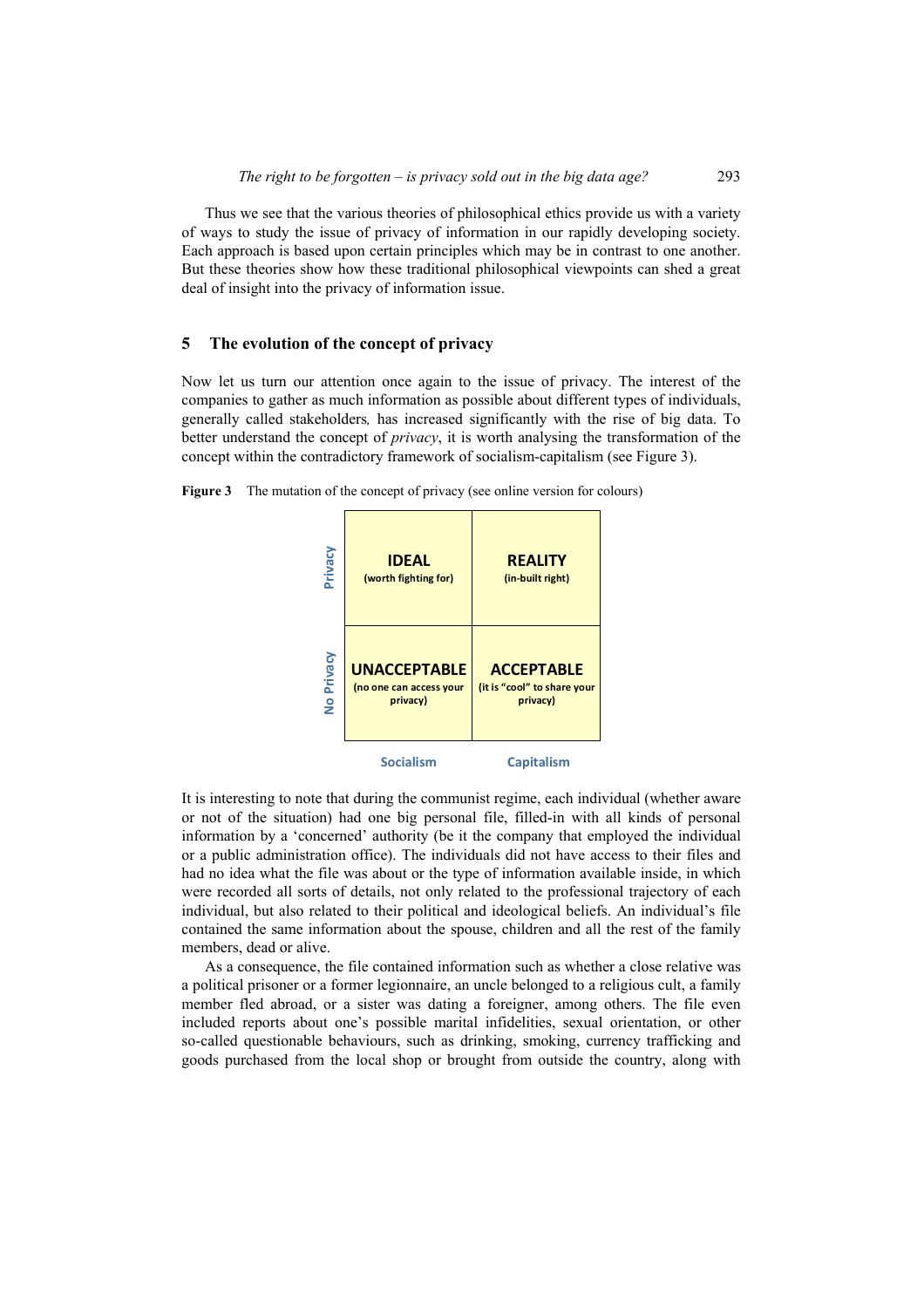Thus we see that the various theories of philosophical ethics provide us with a variety of ways to study the issue of privacy of information in our rapidly developing society. Each approach is based upon certain principles which may be in contrast to one another. But these theories show how these traditional philosophical viewpoints can shed a great deal of insight into the privacy of information issue.

#### **5 The evolution of the concept of privacy**

Now let us turn our attention once again to the issue of privacy. The interest of the companies to gather as much information as possible about different types of individuals, generally called stakeholders*,* has increased significantly with the rise of big data. To better understand the concept of *privacy*, it is worth analysing the transformation of the concept within the contradictory framework of socialism-capitalism (see Figure 3).

**Figure 3** The mutation of the concept of privacy (see online version for colours)



It is interesting to note that during the communist regime, each individual (whether aware or not of the situation) had one big personal file, filled-in with all kinds of personal information by a 'concerned' authority (be it the company that employed the individual or a public administration office). The individuals did not have access to their files and had no idea what the file was about or the type of information available inside, in which were recorded all sorts of details, not only related to the professional trajectory of each individual, but also related to their political and ideological beliefs. An individual's file contained the same information about the spouse, children and all the rest of the family members, dead or alive.

As a consequence, the file contained information such as whether a close relative was a political prisoner or a former legionnaire, an uncle belonged to a religious cult, a family member fled abroad, or a sister was dating a foreigner, among others. The file even included reports about one's possible marital infidelities, sexual orientation, or other so-called questionable behaviours, such as drinking, smoking, currency trafficking and goods purchased from the local shop or brought from outside the country, along with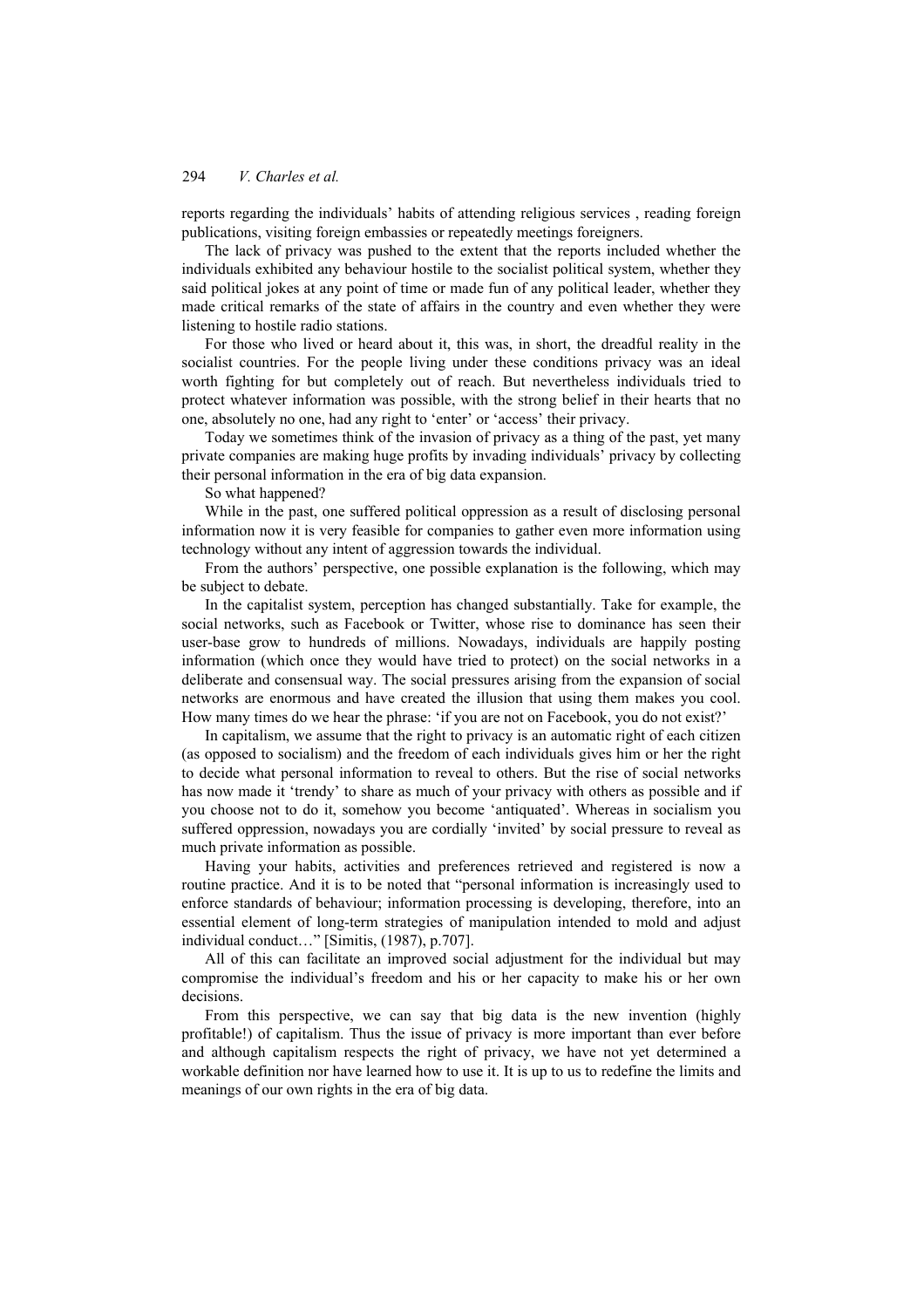reports regarding the individuals' habits of attending religious services , reading foreign publications, visiting foreign embassies or repeatedly meetings foreigners.

The lack of privacy was pushed to the extent that the reports included whether the individuals exhibited any behaviour hostile to the socialist political system, whether they said political jokes at any point of time or made fun of any political leader, whether they made critical remarks of the state of affairs in the country and even whether they were listening to hostile radio stations.

For those who lived or heard about it, this was, in short, the dreadful reality in the socialist countries. For the people living under these conditions privacy was an ideal worth fighting for but completely out of reach. But nevertheless individuals tried to protect whatever information was possible, with the strong belief in their hearts that no one, absolutely no one, had any right to 'enter' or 'access' their privacy.

Today we sometimes think of the invasion of privacy as a thing of the past, yet many private companies are making huge profits by invading individuals' privacy by collecting their personal information in the era of big data expansion.

So what happened?

While in the past, one suffered political oppression as a result of disclosing personal information now it is very feasible for companies to gather even more information using technology without any intent of aggression towards the individual.

From the authors' perspective, one possible explanation is the following, which may be subject to debate.

In the capitalist system, perception has changed substantially. Take for example, the social networks, such as Facebook or Twitter, whose rise to dominance has seen their user-base grow to hundreds of millions. Nowadays, individuals are happily posting information (which once they would have tried to protect) on the social networks in a deliberate and consensual way. The social pressures arising from the expansion of social networks are enormous and have created the illusion that using them makes you cool. How many times do we hear the phrase: 'if you are not on Facebook, you do not exist?'

In capitalism, we assume that the right to privacy is an automatic right of each citizen (as opposed to socialism) and the freedom of each individuals gives him or her the right to decide what personal information to reveal to others. But the rise of social networks has now made it 'trendy' to share as much of your privacy with others as possible and if you choose not to do it, somehow you become 'antiquated'. Whereas in socialism you suffered oppression, nowadays you are cordially 'invited' by social pressure to reveal as much private information as possible.

Having your habits, activities and preferences retrieved and registered is now a routine practice. And it is to be noted that "personal information is increasingly used to enforce standards of behaviour; information processing is developing, therefore, into an essential element of long-term strategies of manipulation intended to mold and adjust individual conduct…" [Simitis, (1987), p.707].

All of this can facilitate an improved social adjustment for the individual but may compromise the individual's freedom and his or her capacity to make his or her own decisions.

From this perspective, we can say that big data is the new invention (highly profitable!) of capitalism. Thus the issue of privacy is more important than ever before and although capitalism respects the right of privacy, we have not yet determined a workable definition nor have learned how to use it. It is up to us to redefine the limits and meanings of our own rights in the era of big data.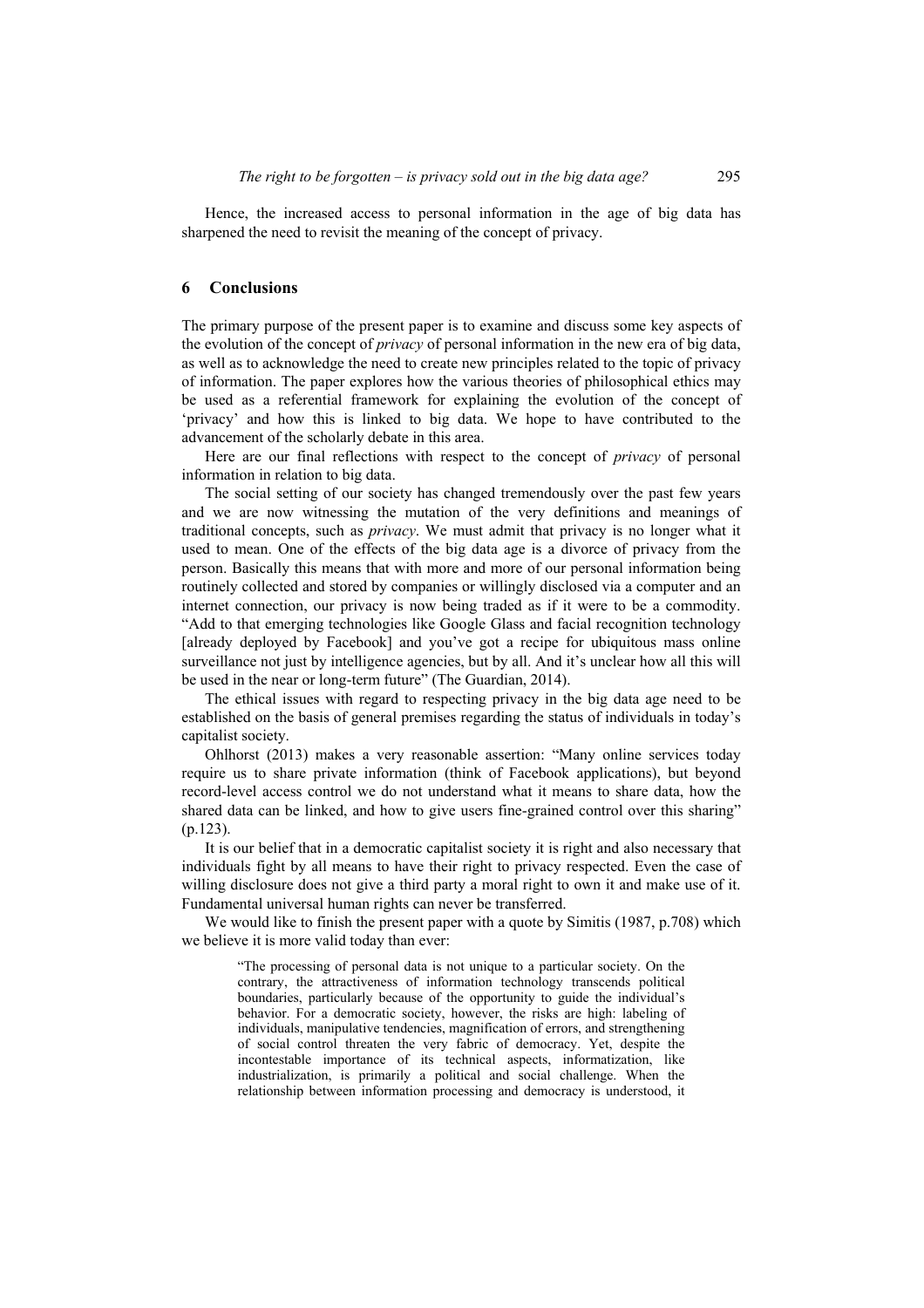Hence, the increased access to personal information in the age of big data has sharpened the need to revisit the meaning of the concept of privacy.

## **6 Conclusions**

The primary purpose of the present paper is to examine and discuss some key aspects of the evolution of the concept of *privacy* of personal information in the new era of big data, as well as to acknowledge the need to create new principles related to the topic of privacy of information. The paper explores how the various theories of philosophical ethics may be used as a referential framework for explaining the evolution of the concept of 'privacy' and how this is linked to big data. We hope to have contributed to the advancement of the scholarly debate in this area.

Here are our final reflections with respect to the concept of *privacy* of personal information in relation to big data.

The social setting of our society has changed tremendously over the past few years and we are now witnessing the mutation of the very definitions and meanings of traditional concepts, such as *privacy*. We must admit that privacy is no longer what it used to mean. One of the effects of the big data age is a divorce of privacy from the person. Basically this means that with more and more of our personal information being routinely collected and stored by companies or willingly disclosed via a computer and an internet connection, our privacy is now being traded as if it were to be a commodity. "Add to that emerging technologies like Google Glass and facial recognition technology [already deployed by Facebook] and you've got a recipe for ubiquitous mass online surveillance not just by intelligence agencies, but by all. And it's unclear how all this will be used in the near or long-term future" (The Guardian, 2014).

The ethical issues with regard to respecting privacy in the big data age need to be established on the basis of general premises regarding the status of individuals in today's capitalist society.

Ohlhorst (2013) makes a very reasonable assertion: "Many online services today require us to share private information (think of Facebook applications), but beyond record-level access control we do not understand what it means to share data, how the shared data can be linked, and how to give users fine-grained control over this sharing" (p.123).

It is our belief that in a democratic capitalist society it is right and also necessary that individuals fight by all means to have their right to privacy respected. Even the case of willing disclosure does not give a third party a moral right to own it and make use of it. Fundamental universal human rights can never be transferred.

We would like to finish the present paper with a quote by Simitis (1987, p.708) which we believe it is more valid today than ever:

"The processing of personal data is not unique to a particular society. On the contrary, the attractiveness of information technology transcends political boundaries, particularly because of the opportunity to guide the individual's behavior. For a democratic society, however, the risks are high: labeling of individuals, manipulative tendencies, magnification of errors, and strengthening of social control threaten the very fabric of democracy. Yet, despite the incontestable importance of its technical aspects, informatization, like industrialization, is primarily a political and social challenge. When the relationship between information processing and democracy is understood, it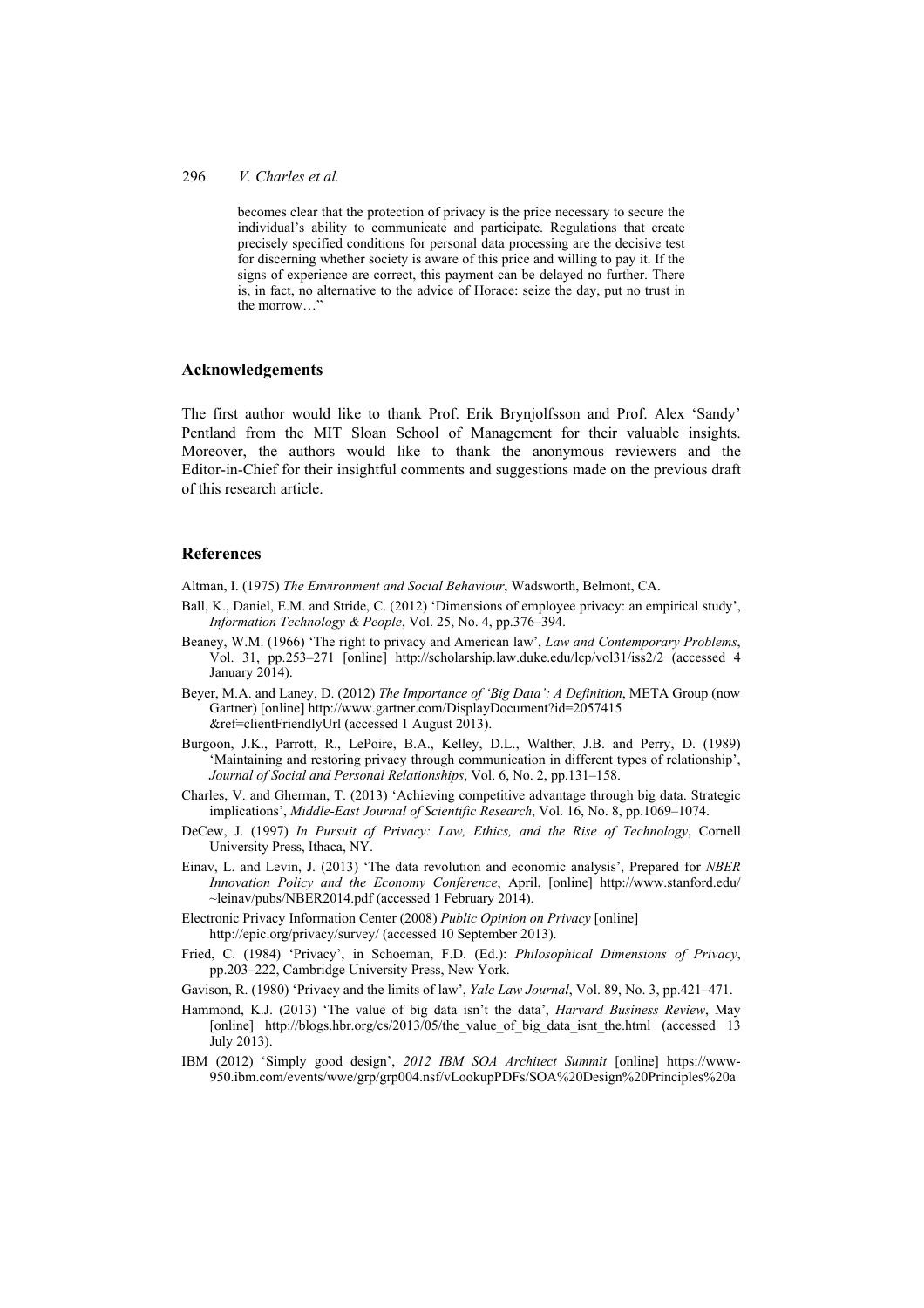becomes clear that the protection of privacy is the price necessary to secure the individual's ability to communicate and participate. Regulations that create precisely specified conditions for personal data processing are the decisive test for discerning whether society is aware of this price and willing to pay it. If the signs of experience are correct, this payment can be delayed no further. There is, in fact, no alternative to the advice of Horace: seize the day, put no trust in the morrow...'

#### **Acknowledgements**

The first author would like to thank Prof. Erik Brynjolfsson and Prof. Alex 'Sandy' Pentland from the MIT Sloan School of Management for their valuable insights. Moreover, the authors would like to thank the anonymous reviewers and the Editor-in-Chief for their insightful comments and suggestions made on the previous draft of this research article.

#### **References**

Altman, I. (1975) *The Environment and Social Behaviour*, Wadsworth, Belmont, CA.

- Ball, K., Daniel, E.M. and Stride, C. (2012) 'Dimensions of employee privacy: an empirical study', *Information Technology & People*, Vol. 25, No. 4, pp.376–394.
- Beaney, W.M. (1966) 'The right to privacy and American law', *Law and Contemporary Problems*, Vol. 31, pp.253–271 [online] http://scholarship.law.duke.edu/lcp/vol31/iss2/2 (accessed 4 January 2014).
- Beyer, M.A. and Laney, D. (2012) *The Importance of 'Big Data': A Definition*, META Group (now Gartner) [online] http://www.gartner.com/DisplayDocument?id=2057415 &ref=clientFriendlyUrl (accessed 1 August 2013).
- Burgoon, J.K., Parrott, R., LePoire, B.A., Kelley, D.L., Walther, J.B. and Perry, D. (1989) 'Maintaining and restoring privacy through communication in different types of relationship', *Journal of Social and Personal Relationships*, Vol. 6, No. 2, pp.131–158.
- Charles, V. and Gherman, T. (2013) 'Achieving competitive advantage through big data. Strategic implications', *Middle-East Journal of Scientific Research*, Vol. 16, No. 8, pp.1069–1074.
- DeCew, J. (1997) *In Pursuit of Privacy: Law, Ethics, and the Rise of Technology*, Cornell University Press, Ithaca, NY.
- Einav, L. and Levin, J. (2013) 'The data revolution and economic analysis', Prepared for *NBER Innovation Policy and the Economy Conference*, April, [online] http://www.stanford.edu/ ~leinav/pubs/NBER2014.pdf (accessed 1 February 2014).
- Electronic Privacy Information Center (2008) *Public Opinion on Privacy* [online] http://epic.org/privacy/survey/ (accessed 10 September 2013).
- Fried, C. (1984) 'Privacy', in Schoeman, F.D. (Ed.): *Philosophical Dimensions of Privacy*, pp.203–222, Cambridge University Press, New York.
- Gavison, R. (1980) 'Privacy and the limits of law', *Yale Law Journal*, Vol. 89, No. 3, pp.421–471.
- Hammond, K.J. (2013) 'The value of big data isn't the data', *Harvard Business Review*, May [online] http://blogs.hbr.org/cs/2013/05/the value of big data isnt the.html (accessed 13 July 2013).
- IBM (2012) 'Simply good design', *2012 IBM SOA Architect Summit* [online] https://www-950.ibm.com/events/wwe/grp/grp004.nsf/vLookupPDFs/SOA%20Design%20Principles%20a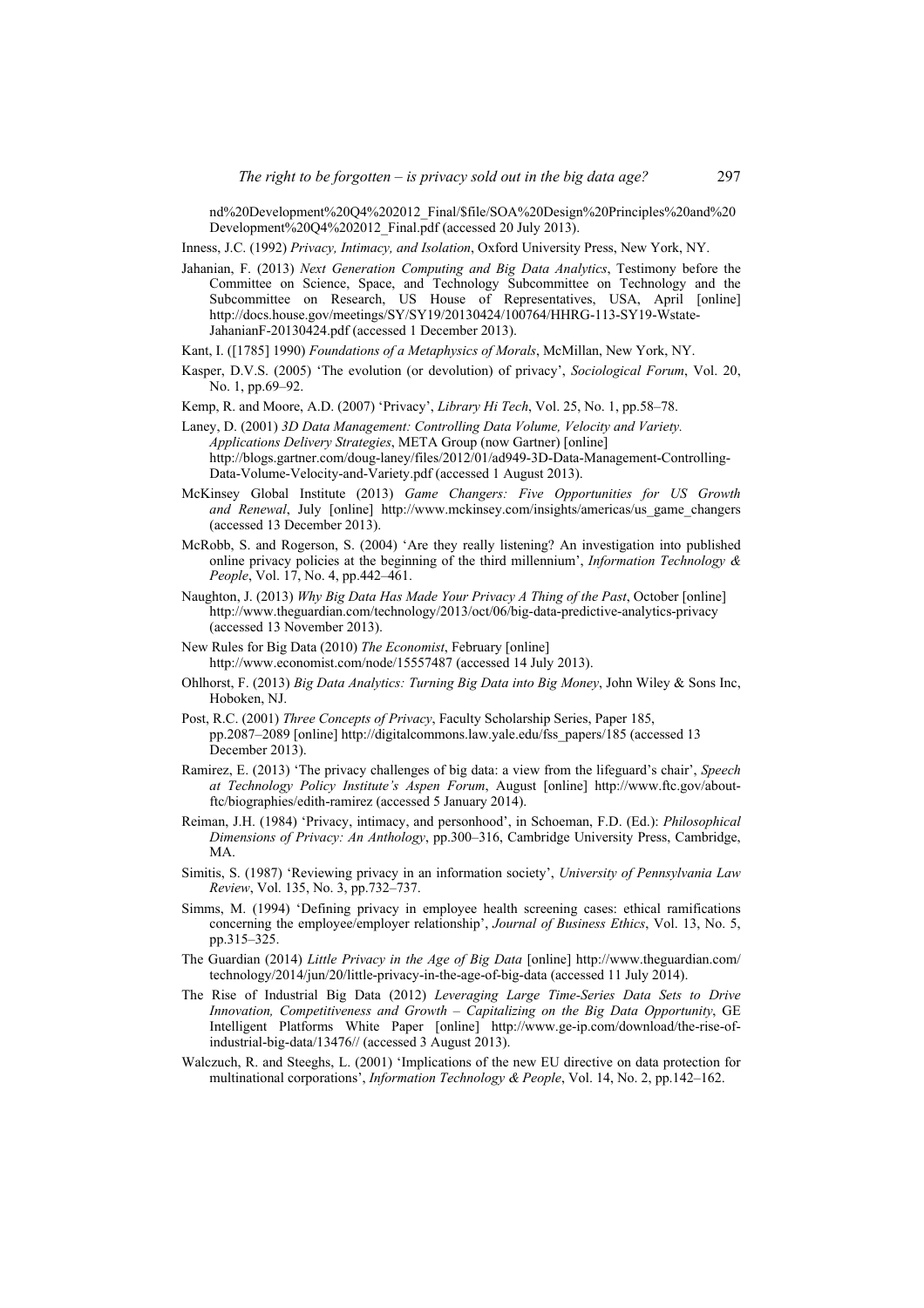nd%20Development%20Q4%202012\_Final/\$file/SOA%20Design%20Principles%20and%20 Development%20Q4%202012\_Final.pdf (accessed 20 July 2013).

Inness, J.C. (1992) *Privacy, Intimacy, and Isolation*, Oxford University Press, New York, NY.

- Jahanian, F. (2013) *Next Generation Computing and Big Data Analytics*, Testimony before the Committee on Science, Space, and Technology Subcommittee on Technology and the Subcommittee on Research, US House of Representatives, USA, April [online] http://docs.house.gov/meetings/SY/SY19/20130424/100764/HHRG-113-SY19-Wstate-JahanianF-20130424.pdf (accessed 1 December 2013).
- Kant, I. ([1785] 1990) *Foundations of a Metaphysics of Morals*, McMillan, New York, NY.
- Kasper, D.V.S. (2005) 'The evolution (or devolution) of privacy', *Sociological Forum*, Vol. 20, No. 1, pp.69–92.

Kemp, R. and Moore, A.D. (2007) 'Privacy', *Library Hi Tech*, Vol. 25, No. 1, pp.58–78.

- Laney, D. (2001) *3D Data Management: Controlling Data Volume, Velocity and Variety. Applications Delivery Strategies*, META Group (now Gartner) [online] http://blogs.gartner.com/doug-laney/files/2012/01/ad949-3D-Data-Management-Controlling-Data-Volume-Velocity-and-Variety.pdf (accessed 1 August 2013).
- McKinsey Global Institute (2013) *Game Changers: Five Opportunities for US Growth and Renewal*, July [online] http://www.mckinsey.com/insights/americas/us\_game\_changers (accessed 13 December 2013).
- McRobb, S. and Rogerson, S. (2004) 'Are they really listening? An investigation into published online privacy policies at the beginning of the third millennium', *Information Technology & People*, Vol. 17, No. 4, pp.442–461.
- Naughton, J. (2013) *Why Big Data Has Made Your Privacy A Thing of the Past*, October [online] http://www.theguardian.com/technology/2013/oct/06/big-data-predictive-analytics-privacy (accessed 13 November 2013).
- New Rules for Big Data (2010) *The Economist*, February [online] http://www.economist.com/node/15557487 (accessed 14 July 2013).
- Ohlhorst, F. (2013) *Big Data Analytics: Turning Big Data into Big Money*, John Wiley & Sons Inc, Hoboken, NJ.
- Post, R.C. (2001) *Three Concepts of Privacy*, Faculty Scholarship Series, Paper 185, pp.2087–2089 [online] http://digitalcommons.law.yale.edu/fss\_papers/185 (accessed 13 December 2013).
- Ramirez, E. (2013) 'The privacy challenges of big data: a view from the lifeguard's chair', *Speech at Technology Policy Institute's Aspen Forum*, August [online] http://www.ftc.gov/aboutftc/biographies/edith-ramirez (accessed 5 January 2014).
- Reiman, J.H. (1984) 'Privacy, intimacy, and personhood', in Schoeman, F.D. (Ed.): *Philosophical Dimensions of Privacy: An Anthology*, pp.300–316, Cambridge University Press, Cambridge, MA.
- Simitis, S. (1987) 'Reviewing privacy in an information society', *University of Pennsylvania Law Review*, Vol. 135, No. 3, pp.732–737.
- Simms, M. (1994) 'Defining privacy in employee health screening cases: ethical ramifications concerning the employee/employer relationship', *Journal of Business Ethics*, Vol. 13, No. 5, pp.315–325.
- The Guardian (2014) *Little Privacy in the Age of Big Data* [online] http://www.theguardian.com/ technology/2014/jun/20/little-privacy-in-the-age-of-big-data (accessed 11 July 2014).
- The Rise of Industrial Big Data (2012) *Leveraging Large Time-Series Data Sets to Drive Innovation, Competitiveness and Growth – Capitalizing on the Big Data Opportunity*, GE Intelligent Platforms White Paper [online] http://www.ge-ip.com/download/the-rise-ofindustrial-big-data/13476// (accessed 3 August 2013).
- Walczuch, R. and Steeghs, L. (2001) 'Implications of the new EU directive on data protection for multinational corporations', *Information Technology & People*, Vol. 14, No. 2, pp.142–162.